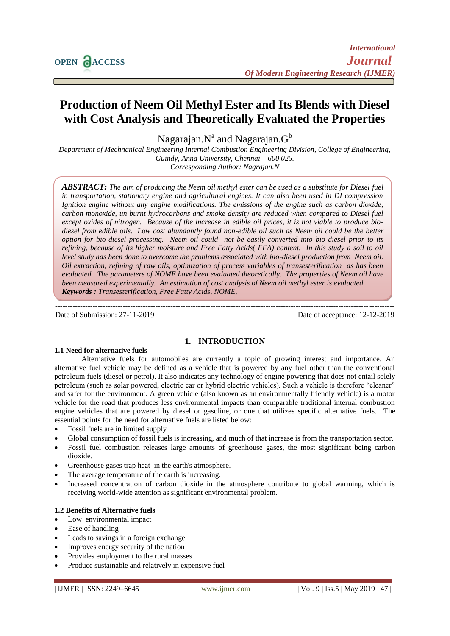# **Production of Neem Oil Methyl Ester and Its Blends with Diesel with Cost Analysis and Theoretically Evaluated the Properties**

Nagarajan. $\mathrm{N}^{\mathrm{a}}$  and Nagarajan. $\mathrm{G}^{\mathrm{b}}$ 

*Department of Mechnanical Engineering Internal Combustion Engineering Division, College of Engineering, Guindy, Anna University, Chennai – 600 025. Corresponding Author: Nagrajan.N*

*ABSTRACT: The aim of producing the Neem oil methyl ester can be used as a substitute for Diesel fuel in transportation, stationary engine and agricultural engines. It can also been used in DI compression Ignition engine without any engine modifications. The emissions of the engine such as carbon dioxide, carbon monoxide, un burnt hydrocarbons and smoke density are reduced when compared to Diesel fuel except oxides of nitrogen. Because of the increase in edible oil prices, it is not viable to produce biodiesel from edible oils. Low cost abundantly found non-edible oil such as Neem oil could be the better option for bio-diesel processing. Neem oil could not be easily converted into bio-diesel prior to its refining, because of its higher moisture and Free Fatty Acids( FFA) content. In this study a soil to oil level study has been done to overcome the problems associated with bio-diesel production from Neem oil. Oil extraction, refining of raw oils, optimization of process variables of transesterification as has been evaluated. The parameters of NOME have been evaluated theoretically. The properties of Neem oil have been measured experimentally. An estimation of cost analysis of Neem oil methyl ester is evaluated. Keywords : Transesterification, Free Fatty Acids, NOME,* 

Date of Submission: 27-11-2019 Date of acceptance: 12-12-2019 ---------------------------------------------------------------------------------------------------------------------------------------

---------------------------------------------------------------------------------------------------------------------------------------

## **1. INTRODUCTION**

# **1.1 Need for alternative fuels**

Alternative fuels for automobiles are currently a topic of growing interest and importance. An alternative fuel vehicle may be defined as a vehicle that is powered by any fuel other than the conventional petroleum fuels (diesel or petrol). It also indicates any technology of engine powering that does not entail solely petroleum (such as solar powered, electric car or hybrid electric vehicles). Such a vehicle is therefore "cleaner" and safer for the environment. A green vehicle (also known as an environmentally friendly vehicle) is a motor vehicle for the road that produces less environmental impacts than comparable traditional internal combustion engine vehicles that are powered by diesel or gasoline, or one that utilizes specific alternative fuels. The essential points for the need for alternative fuels are listed below:

- Fossil fuels are in limited supply
- Global consumption of fossil fuels is increasing, and much of that increase is from the transportation sector.
- Fossil fuel combustion releases large amounts of greenhouse gases, the most significant being carbon dioxide.
- Greenhouse gases trap heat in the earth's atmosphere.
- The average temperature of the earth is increasing.
- Increased concentration of carbon dioxide in the atmosphere contribute to global warming, which is receiving world-wide attention as significant environmental problem.

## **1.2 Benefits of Alternative fuels**

- Low environmental impact
- Ease of handling
- Leads to savings in a foreign exchange
- Improves energy security of the nation
- Provides employment to the rural masses
- Produce sustainable and relatively in expensive fuel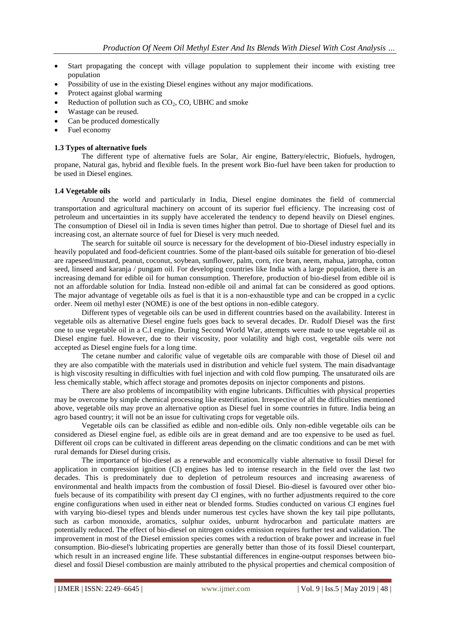- Start propagating the concept with village population to supplement their income with existing tree population
- Possibility of use in the existing Diesel engines without any major modifications.
- Protect against global warming
- Reduction of pollution such as  $CO<sub>2</sub>$ , CO, UBHC and smoke
- Wastage can be reused.
- Can be produced domestically
- Fuel economy

#### **1.3 Types of alternative fuels**

The different type of alternative fuels are Solar, Air engine, Battery/electric, Biofuels, hydrogen, propane, Natural gas, hybrid and flexible fuels. In the present work Bio-fuel have been taken for production to be used in Diesel engines.

#### **1.4 Vegetable oils**

Around the world and particularly in India, Diesel engine dominates the field of commercial transportation and agricultural machinery on account of its superior fuel efficiency. The increasing cost of petroleum and uncertainties in its supply have accelerated the tendency to depend heavily on Diesel engines. The consumption of Diesel oil in India is seven times higher than petrol. Due to shortage of Diesel fuel and its increasing cost, an alternate source of fuel for Diesel is very much needed.

The search for suitable oil source is necessary for the development of bio-Diesel industry especially in heavily populated and food-deficient countries. Some of the plant-based oils suitable for generation of bio-diesel are rapeseed/mustard, peanut, coconut, soybean, sunflower, palm, corn, rice bran, neem, mahua, jatropha, cotton seed, linseed and karanja / pungam oil. For developing countries like India with a large population, there is an increasing demand for edible oil for human consumption. Therefore, production of bio-diesel from edible oil is not an affordable solution for India. Instead non-edible oil and animal fat can be considered as good options. The major advantage of vegetable oils as fuel is that it is a non-exhaustible type and can be cropped in a cyclic order. Neem oil methyl ester (NOME) is one of the best options in non-edible category.

Different types of vegetable oils can be used in different countries based on the availability. Interest in vegetable oils as alternative Diesel engine fuels goes back to several decades. Dr. Rudolf Diesel was the first one to use vegetable oil in a C.I engine. During Second World War, attempts were made to use vegetable oil as Diesel engine fuel. However, due to their viscosity, poor volatility and high cost, vegetable oils were not accepted as Diesel engine fuels for a long time.

The cetane number and calorific value of vegetable oils are comparable with those of Diesel oil and they are also compatible with the materials used in distribution and vehicle fuel system. The main disadvantage is high viscosity resulting in difficulties with fuel injection and with cold flow pumping. The unsaturated oils are less chemically stable, which affect storage and promotes deposits on injector components and pistons.

There are also problems of incompatibility with engine lubricants. Difficulties with physical properties may be overcome by simple chemical processing like esterification. Irrespective of all the difficulties mentioned above, vegetable oils may prove an alternative option as Diesel fuel in some countries in future. India being an agro based country; it will not be an issue for cultivating crops for vegetable oils.

Vegetable oils can be classified as edible and non-edible oils. Only non-edible vegetable oils can be considered as Diesel engine fuel, as edible oils are in great demand and are too expensive to be used as fuel. Different oil crops can be cultivated in different areas depending on the climatic conditions and can be met with rural demands for Diesel during crisis.

The importance of bio-diesel as a renewable and economically viable alternative to fossil Diesel for application in compression ignition (CI) engines has led to intense research in the field over the last two decades. This is predominately due to depletion of petroleum resources and increasing awareness of environmental and health impacts from the combustion of fossil Diesel. Bio-diesel is favoured over other biofuels because of its compatibility with present day CI engines, with no further adjustments required to the core engine configurations when used in either neat or blended forms. Studies conducted on various CI engines fuel with varying bio-diesel types and blends under numerous test cycles have shown the key tail pipe pollutants, such as carbon monoxide, aromatics, sulphur oxides, unburnt hydrocarbon and particulate matters are potentially reduced. The effect of bio-diesel on nitrogen oxides emission requires further test and validation. The improvement in most of the Diesel emission species comes with a reduction of brake power and increase in fuel consumption. Bio-diesel's lubricating properties are generally better than those of its fossil Diesel counterpart, which result in an increased engine life. These substantial differences in engine-output responses between biodiesel and fossil Diesel combustion are mainly attributed to the physical properties and chemical composition of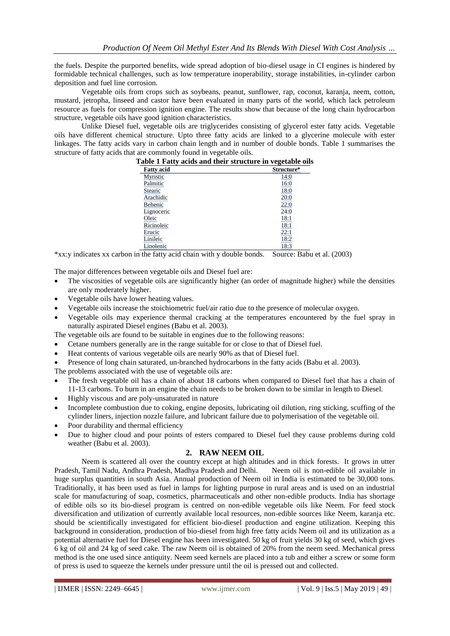the fuels. Despite the purported benefits, wide spread adoption of bio-diesel usage in CI engines is hindered by formidable technical challenges, such as low temperature inoperability, storage instabilities, in-cylinder carbon deposition and fuel line corrosion.

Vegetable oils from crops such as soybeans, peanut, sunflower, rap, coconut, karanja, neem, cotton, mustard, jetropha, linseed and castor have been evaluated in many parts of the world, which lack petroleum resource as fuels for compression ignition engine. The results show that because of the long chain hydrocarbon structure, vegetable oils have good ignition characteristics.

Unlike Diesel fuel, vegetable oils are triglycerides consisting of glycerol ester fatty acids. Vegetable oils have different chemical structure. Upto three fatty acids are linked to a glycerine molecule with ester linkages. The fatty acids vary in carbon chain length and in number of double bonds. Table 1 summarises the structure of fatty acids that are commonly found in vegetable oils.

| $-$        |
|------------|
| Structure* |
| 14:0       |
| 16:0       |
| 18:0       |
| 20:0       |
| 22:0       |
| 24:0       |
| 18:1       |
| 18:1       |
| 22:1       |
| 18:2       |
| 18:3       |
|            |

\*xx:y indicates xx carbon in the fatty acid chain with y double bonds. Source: Babu et al. (2003)

The major differences between vegetable oils and Diesel fuel are:

- The viscosities of vegetable oils are significantly higher (an order of magnitude higher) while the densities are only moderately higher.
- Vegetable oils have lower heating values.
- Vegetable oils increase the stoichiometric fuel/air ratio due to the presence of molecular oxygen.
- Vegetable oils may experience thermal cracking at the temperatures encountered by the fuel spray in naturally aspirated Diesel engines (Babu et al. 2003).

The vegetable oils are found to be suitable in engines due to the following reasons:

- Cetane numbers generally are in the range suitable for or close to that of Diesel fuel.
- Heat contents of various vegetable oils are nearly 90% as that of Diesel fuel.
- Presence of long chain saturated, un-branched hydrocarbons in the fatty acids (Babu et al. 2003).

The problems associated with the use of vegetable oils are:

- The fresh vegetable oil has a chain of about 18 carbons when compared to Diesel fuel that has a chain of 11-13 carbons. To burn in an engine the chain needs to be broken down to be similar in length to Diesel.
- Highly viscous and are poly-unsaturated in nature
- Incomplete combustion due to coking, engine deposits, lubricating oil dilution, ring sticking, scuffing of the cylinder liners, injection nozzle failure, and lubricant failure due to polymerisation of the vegetable oil.
- Poor durability and thermal efficiency
- Due to higher cloud and pour points of esters compared to Diesel fuel they cause problems during cold weather (Babu et al. 2003).

## **2. RAW NEEM OIL**

Neem is scattered all over the country except at high altitudes and in thick forests. It grows in utter Pradesh, Tamil Nadu, Andhra Pradesh, Madhya Pradesh and Delhi. Neem oil is non-edible oil available in huge surplus quantities in south Asia. Annual production of Neem oil in India is estimated to be 30,000 tons. Traditionally, it has been used as fuel in lamps for lighting purpose in rural areas and is used on an industrial scale for manufacturing of soap, cosmetics, pharmaceuticals and other non-edible products. India has shortage of edible oils so its bio-diesel program is centred on non-edible vegetable oils like Neem. For feed stock diversification and utilization of currently available local resources, non-edible sources like Neem, karanja etc. should be scientifically investigated for efficient bio-diesel production and engine utilization. Keeping this background in consideration, production of bio-diesel from high free fatty acids Neem oil and its utilization as a potential alternative fuel for Diesel engine has been investigated. 50 kg of fruit yields 30 kg of seed, which gives 6 kg of oil and 24 kg of seed cake. The raw Neem oil is obtained of 20% from the neem seed. Mechanical press method is the one used since antiquity. Neem seed kernels are placed into a tub and either a screw or some form of press is used to squeeze the kernels under pressure until the oil is pressed out and collected.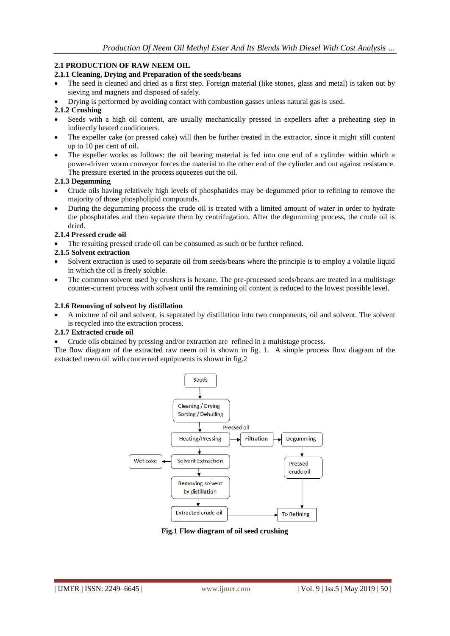## **2.1 PRODUCTION OF RAW NEEM OIL**

#### **2.1.1 Cleaning, Drying and Preparation of the seeds/beans**

- The seed is cleaned and dried as a first step. Foreign material (like stones, glass and metal) is taken out by sieving and magnets and disposed of safely.
- Drying is performed by avoiding contact with combustion gasses unless natural gas is used.

#### **2.1.2 Crushing**

- Seeds with a high oil content, are usually mechanically pressed in expellers after a preheating step in indirectly heated conditioners.
- The expeller cake (or pressed cake) will then be further treated in the extractor, since it might still content up to 10 per cent of oil.
- The expeller works as follows: the oil bearing material is fed into one end of a cylinder within which a power-driven worm conveyor forces the material to the other end of the cylinder and out against resistance. The pressure exerted in the process squeezes out the oil.

#### **2.1.3 Degumming**

- Crude oils having relatively high levels of phosphatides may be degummed prior to refining to remove the majority of those phospholipid compounds.
- During the degumming process the crude oil is treated with a limited amount of water in order to hydrate the phosphatides and then separate them by centrifugation. After the degumming process, the crude oil is dried.

#### **2.1.4 Pressed crude oil**

The resulting pressed crude oil can be consumed as such or be further refined.

#### **2.1.5 Solvent extraction**

- Solvent extraction is used to separate oil from seeds/beans where the principle is to employ a volatile liquid in which the oil is freely soluble.
- The common solvent used by crushers is hexane. The pre-processed seeds/beans are treated in a multistage counter-current process with solvent until the remaining oil content is reduced to the lowest possible level.

#### **2.1.6 Removing of solvent by distillation**

 A mixture of oil and solvent, is separated by distillation into two components, oil and solvent. The solvent is recycled into the extraction process.

#### **2.1.7 Extracted crude oil**

Crude oils obtained by pressing and/or extraction are refined in a multistage process.

The flow diagram of the extracted raw neem oil is shown in fig. 1. A simple process flow diagram of the extracted neem oil with concerned equipments is shown in fig.2



**Fig.1 Flow diagram of oil seed crushing**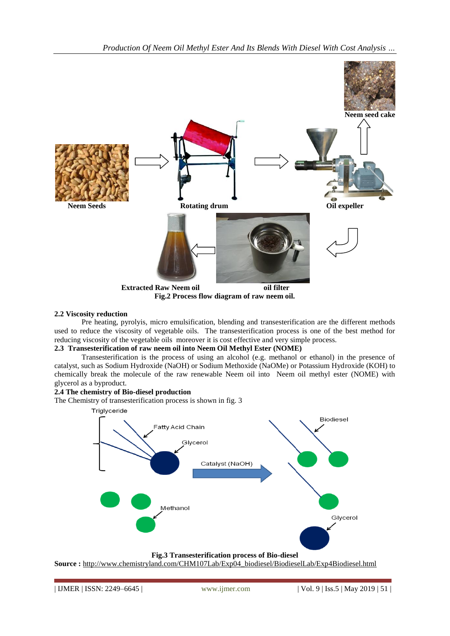

**2.2 Viscosity reduction**

Pre heating, pyrolyis, micro emulsification, blending and transesterification are the different methods used to reduce the viscosity of vegetable oils. The transesterification process is one of the best method for reducing viscosity of the vegetable oils moreover it is cost effective and very simple process.

#### **2.3 Transesterification of raw neem oil into Neem Oil Methyl Ester (NOME)**

Transesterification is the process of using an alcohol (e.g. methanol or ethanol) in the presence of catalyst, such as Sodium Hydroxide (NaOH) or Sodium Methoxide (NaOMe) or Potassium Hydroxide (KOH) to chemically break the molecule of the raw renewable Neem oil into Neem oil methyl ester (NOME) with glycerol as a byproduct.

#### **2.4 The chemistry of Bio-diesel production**

The Chemistry of transesterification process is shown in fig. 3



**Fig.3 Transesterification process of Bio-diesel**

**Source :** [http://www.chemistryland.com/CHM107Lab/Exp04\\_biodiesel/BiodieselLab/Exp4Biodiesel.html](http://www.chemistryland.com/CHM107Lab/Exp04_biodiesel/BiodieselLab/Exp4Biodiesel.html)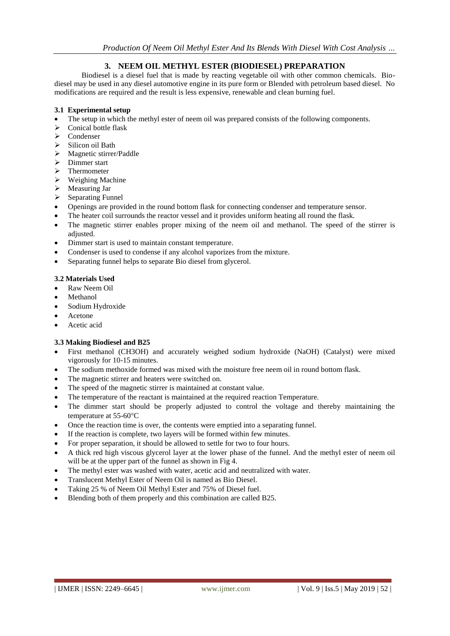# **3. NEEM OIL METHYL ESTER (BIODIESEL) PREPARATION**

Biodiesel is a diesel fuel that is made by reacting vegetable oil with other common chemicals. Biodiesel may be used in any diesel automotive engine in its pure form or Blended with petroleum based diesel. No modifications are required and the result is less expensive, renewable and clean burning fuel.

#### **3.1 Experimental setup**

- The setup in which the methyl ester of neem oil was prepared consists of the following components.
- $\geq$  Conical bottle flask
- $\geq$  Condenser<br> $\geq$  Silicon oil
- Silicon oil Bath
- $\triangleright$  Magnetic stirrer/Paddle
- $\triangleright$  Dimmer start
- $\triangleright$  Thermometer
- $\triangleright$  Weighing Machine
- > Measuring Jar
- $\triangleright$  Separating Funnel
- Openings are provided in the round bottom flask for connecting condenser and temperature sensor.
- The heater coil surrounds the reactor vessel and it provides uniform heating all round the flask.
- The magnetic stirrer enables proper mixing of the neem oil and methanol. The speed of the stirrer is adjusted.
- Dimmer start is used to maintain constant temperature.
- Condenser is used to condense if any alcohol vaporizes from the mixture.
- Separating funnel helps to separate Bio diesel from glycerol.

#### **3.2 Materials Used**

- Raw Neem Oil
- Methanol
- Sodium Hydroxide
- Acetone
- Acetic acid

## **3.3 Making Biodiesel and B25**

- First methanol (CH3OH) and accurately weighed sodium hydroxide (NaOH) (Catalyst) were mixed vigorously for 10-15 minutes.
- The sodium methoxide formed was mixed with the moisture free neem oil in round bottom flask.
- The magnetic stirrer and heaters were switched on.
- The speed of the magnetic stirrer is maintained at constant value.
- The temperature of the reactant is maintained at the required reaction Temperature.
- The dimmer start should be properly adjusted to control the voltage and thereby maintaining the temperature at 55-60°C
- Once the reaction time is over, the contents were emptied into a separating funnel.
- If the reaction is complete, two layers will be formed within few minutes.
- For proper separation, it should be allowed to settle for two to four hours.
- A thick red high viscous glycerol layer at the lower phase of the funnel. And the methyl ester of neem oil will be at the upper part of the funnel as shown in Fig 4.
- The methyl ester was washed with water, acetic acid and neutralized with water.
- Translucent Methyl Ester of Neem Oil is named as Bio Diesel.
- Taking 25 % of Neem Oil Methyl Ester and 75% of Diesel fuel.
- Blending both of them properly and this combination are called B25.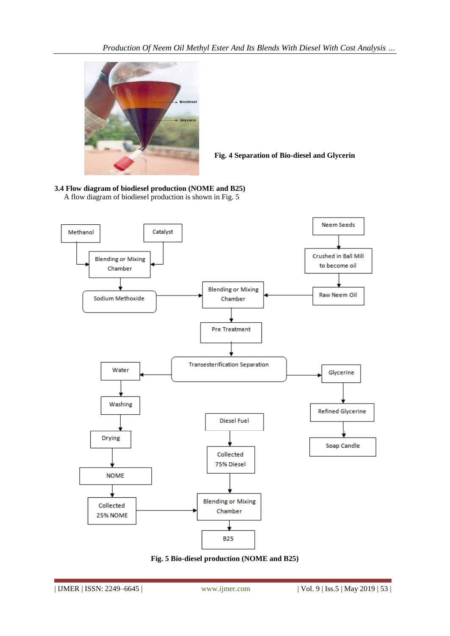

**Fig. 4 Separation of Bio-diesel and Glycerin**

**3.4 Flow diagram of biodiesel production (NOME and B25)** A flow diagram of biodiesel production is shown in Fig. 5



**Fig. 5 Bio-diesel production (NOME and B25)**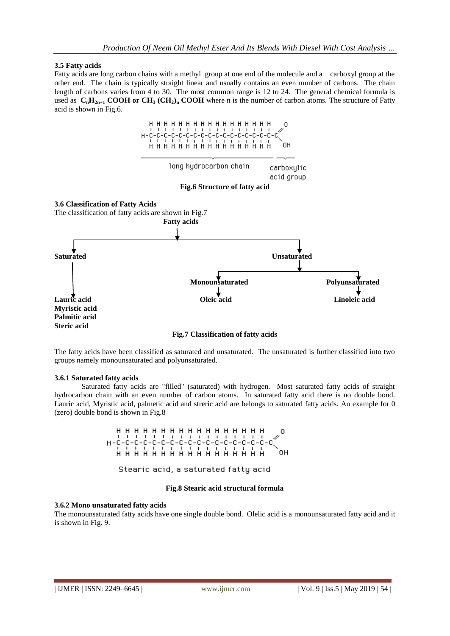#### **3.5 Fatty acids**

Fatty acids are long carbon chains with a methyl group at one end of the molecule and a carboxyl group at the other end. The chain is typically straight linear and usually contains an even number of carbons. The chain length of carbons varies from 4 to 30. The most common range is 12 to 24. The general chemical formula is used as  $C_nH_{2n+1}$  **COOH** or  $CH_3$   $(CH_2)_n$  **COOH** where n is the number of carbon atoms. The structure of Fatty acid is shown in Fig.6.



**Fig.7 Classification of fatty acids**

The fatty acids have been classified as saturated and unsaturated. The unsaturated is further classified into two groups namely monounsaturated and polyunsaturated.

#### **3.6.1 Saturated fatty acids**

Saturated fatty acids are "filled" (saturated) with hydrogen. Most saturated fatty acids of straight hydrocarbon chain with an even number of carbon atoms. In saturated fatty acid there is no double bond. Lauric acid, Myristic acid, palmetic acid and streric acid are belongs to saturated fatty acids. An example for 0 (zero) double bond is shown in Fig.8



Stearic acid, a saturated fatty acid

#### **Fig.8 Stearic acid structural formula**

#### **3.6.2 Mono unsaturated fatty acids**

The monounsaturated fatty acids have one single double bond. Olelic acid is a monounsaturated fatty acid and it is shown in Fig. 9.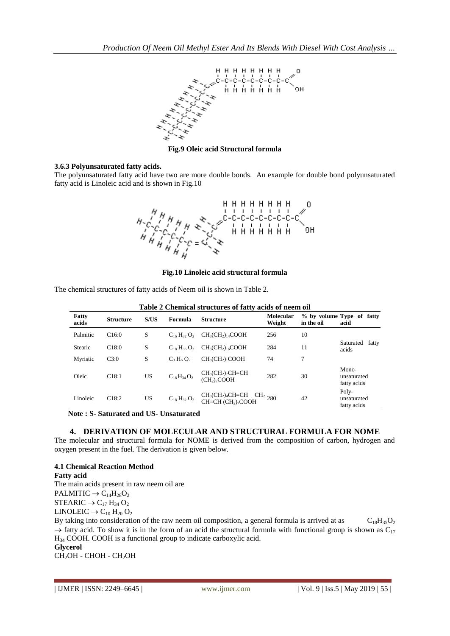

**Fig.9 Oleic acid Structural formula**

#### **3.6.3 Polyunsaturated fatty acids.**

The polyunsaturated fatty acid have two are more double bonds. An example for double bond polyunsaturated fatty acid is Linoleic acid and is shown in Fig.10



**Fig.10 Linoleic acid structural formula**

The chemical structures of fatty acids of Neem oil is shown in Table 2.

| Table 2 Chemical su uctures of faity acius of fleem off |                  |           |                     |                                                          |                             |            |                                     |
|---------------------------------------------------------|------------------|-----------|---------------------|----------------------------------------------------------|-----------------------------|------------|-------------------------------------|
| Fatty<br>acids                                          | <b>Structure</b> | S/US      | Formula             | <b>Structure</b>                                         | <b>Molecular</b><br>Weight  | in the oil | % by volume Type of fatty<br>acid   |
| Palmitic                                                | C16:0            | S         | $C_{16}H_{32}O_2$   | $CH3(CH2)14COOH$                                         | 256                         | 10         |                                     |
| Stearic                                                 | C18:0            | S         | $C_{18} H_{36} O_2$ | $CH3(CH2)16COOH$                                         | 284                         | 11         | Saturated fatty<br>acids            |
| Myristic                                                | C3:0             | S         | $C_3 H_6 O_2$       | $CH3(CH2)1COOH$                                          | 74                          | $\tau$     |                                     |
| Oleic                                                   | C18:1            | <b>US</b> | $C_{18}H_{34}O_2$   | $CH3(CH2)7CH=CH$<br>(CH <sub>2</sub> ) <sub>7</sub> COOH | 282                         | 30         | Mono-<br>unsaturated<br>fatty acids |
| Linoleic                                                | C18:2            | <b>US</b> | $C_{18} H_{32} O_2$ | $CH3(CH2)4CH=CH$<br>$CH=CH (CH2)7COOH$                   | $\cdot$ CH <sub>2</sub> 280 | 42         | Poly-<br>unsaturated<br>fatty acids |

**Table 2 Chemical structures of fatty acids of neem oil**

**Note : S- Saturated and US- Unsaturated** 

## **4. DERIVATION OF MOLECULAR AND STRUCTURAL FORMULA FOR NOME**

The molecular and structural formula for NOME is derived from the composition of carbon, hydrogen and oxygen present in the fuel. The derivation is given below.

## **4.1 Chemical Reaction Method**

#### **Fatty acid**

The main acids present in raw neem oil are PALMITIC  $\rightarrow$  C<sub>14</sub>H<sub>28</sub>O<sub>2</sub>  $STEARIC \rightarrow C_{17} H_{34} O_2$ LINOLEIC  $\rightarrow$  C<sub>10</sub> H<sub>20</sub> O<sub>2</sub>

By taking into consideration of the raw neem oil composition, a general formula is arrived at as  $C_{18}H_{35}O_2$  $\rightarrow$  fatty acid. To show it is in the form of an acid the structural formula with functional group is shown as C<sub>17</sub> H<sup>34</sup> COOH. COOH is a functional group to indicate carboxylic acid. **Glycerol**

CH2OH - CHOH - CH2OH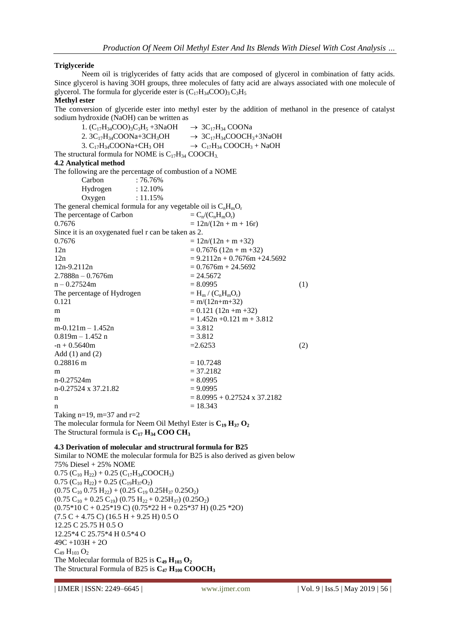#### **Triglyceride**

Neem oil is triglycerides of fatty acids that are composed of glycerol in combination of fatty acids. Since glycerol is having 3OH groups, three molecules of fatty acid are always associated with one molecule of glycerol. The formula for glyceride ester is  $(C_{17}H_{34}COO)_3 C_3H_5$ 

#### **Methyl ester**

The conversion of glyceride ester into methyl ester by the addition of methanol in the presence of catalyst sodium hydroxide (NaOH) can be written as

1.  $(C_{17}H_{34}COO)_3C_3H_5 + 3NaOH \rightarrow 3C_{17}H_{34} COONa$ 2.  $3C_{17}H_{34}COONa+3CH_{3}OH$   $\rightarrow 3C_{17}H_{34}COOCH_{3}+3NaOH$ <br>3.  $C_{17}H_{34}COONa+CH_{3}OH$   $\rightarrow C_{17}H_{34}COOCH_{3} + NaOH$  $\rightarrow$  C<sub>17</sub>H<sub>34</sub> COOCH<sub>3</sub> + NaOH The structural formula for NOME is  $C_{17}H_{34}$  COOCH<sub>3</sub>. **4.2 Analytical method** The following are the percentage of combustion of a NOME Carbon : 76.76% Hydrogen : 12.10% Oxygen : 11.15% The general chemical formula for any vegetable oil is  $C_nH_mO_r$ The percentage of Carbon  $= C_n/(C_nH_mO_r)$ <br>0.7676  $= 12n/(12n + n)$  $= 12n/(12n + m + 16r)$ Since it is an oxygenated fuel r can be taken as 2.  $0.7676$  =  $12n/(12n + m + 32)$  $12n = 0.7676 (12n + m + 32)$  $12n = 9.2112n + 0.7676m + 24.5692$  $12n-9.2112n = 0.7676m + 24.5692$  $2.7888n - 0.7676m = 24.5672$  $n - 0.27524m$  = 8.0995 (1) The percentage of Hydrogen  $= H_m / (C_n H_m O_r)$ <br> $= m / (12n + m + 32)$  $= m/(12n + m + 32)$ m  $= 0.121 (12n + m + 32)$ m  $= 1.452n +0.121m + 3.812$  $m-0.121m-1.452n$  = 3.812  $0.819m - 1.452 n$  = 3.812  $-$ n + 0.5640m  $=$ 2.6253 (2) Add  $(1)$  and  $(2)$  $0.28816 \text{ m} = 10.7248$ m  $= 37.2182$  $n - 0.27524m$  = 8.0995  $n - 0.27524 \times 37.21.82$  = 9.0995 n  $= 8.0995 + 0.27524 \times 37.2182$  $n = 18.343$ Taking  $n=19$ ,  $m=37$  and  $r=2$ The molecular formula for Neem Oil Methyl Ester is  $C_{19}$   $H_{37}$   $O_2$ The Structural formula is  $C_{17}$   $H_{34}$  **COO CH**<sub>3</sub>

#### **4.3 Derivation of molecular and structrural formula for B25**

Similar to NOME the molecular formula for B25 is also derived as given below 75% Diesel + 25% NOME  $0.75$  (C<sub>10</sub> H<sub>22</sub>) + 0.25 (C<sub>17</sub>H<sub>34</sub>COOCH<sub>3</sub>)  $0.75$  (C<sub>10</sub> H<sub>22</sub>) + 0.25 (C<sub>19</sub>H<sub>37</sub>O<sub>2</sub>)  $(0.75 \text{ C}_{10} 0.75 \text{ H}_{22}) + (0.25 \text{ C}_{19} 0.25 \text{ H}_{37} 0.25 \text{ O}_{2})$  $(0.75 \text{ C}_{10} + 0.25 \text{ C}_{19}) (0.75 \text{ H}_{22} + 0.25 \text{ H}_{37}) (0.25 \text{ O}_{2})$  $(0.75*10 \text{ C} + 0.25*19 \text{ C}) (0.75*22 \text{ H} + 0.25*37 \text{ H}) (0.25*20)$  $(7.5 C + 4.75 C) (16.5 H + 9.25 H) 0.5 O$ 12.25 C 25.75 H 0.5 O 12.25\*4 C 25.75\*4 H 0.5\*4 O 49C +103H + 2O  $C_{49} H_{103} O_2$ The Molecular formula of B25 is  $C_{49}$   $H_{103}$   $O_2$ The Structural Formula of B25 is  $C_{47}$   $H_{100}$  **COOCH**<sub>3</sub>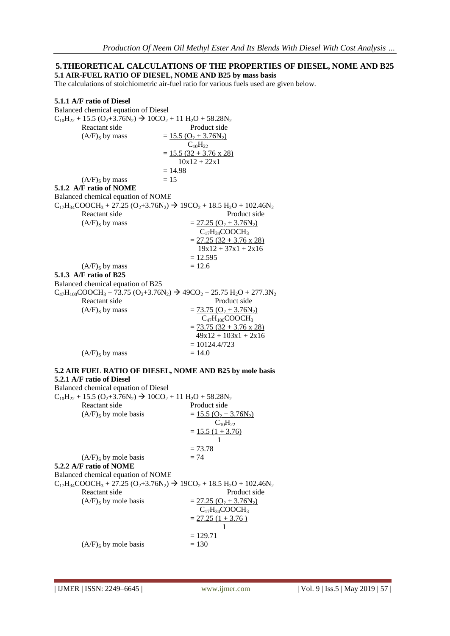#### **5.THEORETICAL CALCULATIONS OF THE PROPERTIES OF DIESEL, NOME AND B25 5.1 AIR-FUEL RATIO OF DIESEL, NOME AND B25 by mass basis**

The calculations of stoichiometric air-fuel ratio for various fuels used are given below.

| 5.1.1 A/F ratio of Diesel            |                                                                                           |
|--------------------------------------|-------------------------------------------------------------------------------------------|
| Balanced chemical equation of Diesel |                                                                                           |
|                                      | $C_{10}H_{22} + 15.5 (O_2 + 3.76N_2) \rightarrow 10CO_2 + 11 H_2O + 58.28N_2$             |
| Reactant side                        | Product side                                                                              |
| $(A/F)_{S}$ by mass                  | $= 15.5 (O2 + 3.76N2)$                                                                    |
|                                      | $C_{10}H_{22}$                                                                            |
|                                      | $= 15.5 (32 + 3.76 \times 28)$                                                            |
|                                      | $10x12 + 22x1$                                                                            |
|                                      | $=14.98$                                                                                  |
| $(A/F)_{S}$ by mass                  | $= 15$                                                                                    |
| 5.1.2 A/F ratio of NOME              |                                                                                           |
| Balanced chemical equation of NOME   |                                                                                           |
|                                      | $C_{17}H_{34}COOCH_3 + 27.25 (O_2 + 3.76N_2) \rightarrow 19CO_2 + 18.5 H_2O + 102.46N_2$  |
| Reactant side                        | Product side                                                                              |
| $(A/F)_{S}$ by mass                  | $= 27.25 (O2 + 3.76N2)$                                                                   |
|                                      | $C_{17}H_{34}COOCH_3$                                                                     |
|                                      | $= 27.25 (32 + 3.76 \times 28)$                                                           |
|                                      | $19x12 + 37x1 + 2x16$                                                                     |
|                                      |                                                                                           |
|                                      | $= 12.595$                                                                                |
| $(A/F)_{S}$ by mass                  | $= 12.6$                                                                                  |
| 5.1.3 A/F ratio of B25               |                                                                                           |
| Balanced chemical equation of B25    |                                                                                           |
|                                      | $C_{47}H_{100}COOCH_3 + 73.75 (O_2 + 3.76N_2) \rightarrow 49CO_2 + 25.75 H_2O + 277.3N_2$ |
| Reactant side                        | Product side                                                                              |
| $(A/F)_{S}$ by mass                  | $= 73.75 (O2 + 3.76N2)$                                                                   |
|                                      | $C_{47}H_{100}COOCH_3$                                                                    |
|                                      | $= 73.75 (32 + 3.76 x 28)$                                                                |
|                                      | $49x12 + 103x1 + 2x16$                                                                    |
|                                      | $= 10124.4/723$                                                                           |
| $(A/F)_{S}$ by mass                  | $= 14.0$                                                                                  |
|                                      |                                                                                           |
|                                      | 5.2 AIR FUEL RATIO OF DIESEL, NOME AND B25 by mole basis                                  |
| 5.2.1 A/F ratio of Diesel            |                                                                                           |
| Balanced chemical equation of Diesel |                                                                                           |
|                                      | $C_{10}H_{22} + 15.5 (O_2 + 3.76N_2) \rightarrow 10CO_2 + 11 H_2O + 58.28N_2$             |
| Reactant side                        | Product side                                                                              |
| $(A/F)_{S}$ by mole basis            | $= 15.5 (O2 + 3.76N2)$                                                                    |
|                                      | $C_{10}H_{22}$                                                                            |
|                                      | $=$ 15.5 (1 + 3.76)                                                                       |
|                                      | 1                                                                                         |
|                                      | $= 73.78$                                                                                 |
| $(A/F)S$ by mole basis               | $= 74$                                                                                    |
| 5.2.2 A/F ratio of NOME              |                                                                                           |
| Balanced chemical equation of NOME   |                                                                                           |
|                                      | $C_{17}H_{34}COOCH_3 + 27.25 (O_2 + 3.76N_2) \rightarrow 19CO_2 + 18.5 H_2O + 102.46N_2$  |
| Reactant side                        | Product side                                                                              |
| $(A/F)S$ by mole basis               | $= 27.25 (O2 + 3.76N2)$                                                                   |
|                                      | $C_{17}H_{34}COOCH_3$                                                                     |
|                                      | $= 27.25(1 + 3.76)$                                                                       |
|                                      |                                                                                           |

 $= 129.71$  $(A/F)<sub>S</sub>$  by mole basis  $= 130$ 

1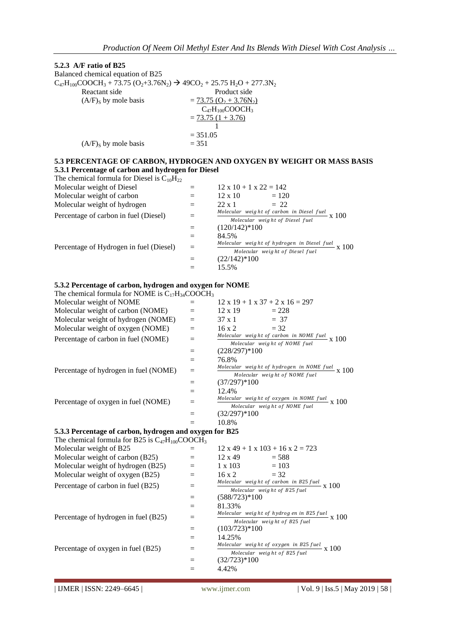#### **5.2.3 A/F ratio of B25** Balanced chemical equation of B25  $C_{47}H_{100}COOCH_3 + 73.75 (O_2 + 3.76N_2)$   $\rightarrow$  49CO<sub>2</sub> + 25.75 H<sub>2</sub>O + 277.3N<sub>2</sub> Reactant side Product side  $(A/F)_S$  by mole basis  $= 73.75 (O_2 + 3.76N_2)$  $C_{47}H_{100}COOCH_3$  $= 73.75$   $(1 + 3.76)$  1  $= 351.05$  $(A/F)$ <sub>S</sub> by mole basis  $= 351$ **5.3 PERCENTAGE OF CARBON, HYDROGEN AND OXYGEN BY WEIGHT OR MASS BASIS 5.3.1 Percentage of carbon and hydrogen for Diesel** The chemical formula for Diesel is  $C_{10}H_{22}$ Molecular weight of Diesel  $=$  12 x 10 + 1 x 22 = 142 Molecular weight of carbon  $=$  12 x 10  $=$  120 Molecular weight of hydrogen  $=$  22 x 1  $=$  22 Percentage of carbon in fuel (Diesel)  $=$ Molecular weight of carbon in Diesel fuel<br>Molecular weight of Diazel fuel<br>X  $100$ Molecular weight of Diesel fuel  $=$   $(120/142)*100$  $=$  84.5% Percentage of Hydrogen in fuel (Diesel)  $=$ Molecular weight of hydrogen in Diesel fuel  $x$  100 Molecular weight of Diesel fuel  $=$   $(22/142)*100$  $=$  15.5% **5.3.2 Percentage of carbon, hydrogen and oxygen for NOME** The chemical formula for NOME is  $C_{17}H_{34}COOCH_3$ Molecular weight of NOME  $=$  12 x 19 + 1 x 37 + 2 x 16 = 297 Molecular weight of carbon (NOME)  $=$  12 x 19  $=$  228 Molecular weight of hydrogen (NOME)  $=$  37 x 1  $=$  37 Molecular weight of oxygen (NOME)  $=$  16 x 2  $=$  32 Percentage of carbon in fuel  $(NOME)$  = Molecular weight of carbon in NOME fuel  $x$  100 Molecular weight of NOME fuel  $=$   $(228/297)*100$  $= 76.8\%$ Percentage of hydrogen in fuel  $(NOME)$  = Molecular weight of hydrogen in NOME fuel  $x = 100$ Molecular weight of NOME fuel  $=$   $(37/297)*100$  $=$  12.4% Percentage of oxygen in fuel  $(NOME)$  = Molecular weight of oxygen in NOME fuel  $x_1$  100 Molecular weight of NOME fuel  $=$   $(32/297)*100$  $=$  10.8% **5.3.3 Percentage of carbon, hydrogen and oxygen for B25** The chemical formula for B25 is  $C_{47}H_{100}COOCH_3$ Molecular weight of B25  $=$  12 x 49 + 1 x 103 + 16 x 2 = 723 Molecular weight of carbon (B25)  $=$  12 x 49  $=$  588 Molecular weight of hydrogen  $(B25)$  = 1 x 103 = 103 Molecular weight of oxygen (B25)  $=$  16 x 2  $=$  32 Percentage of carbon in fuel  $(B25)$  = Molecular weight of carbon in B25 fuel  $\frac{x}{25}$  X 100 Molecular weight of B25 fuel  $=$   $(588/723)*100$  $=$  81.33% Percentage of hydrogen in fuel  $(B25)$  = Molecular weight of hydrog en in B25 fuel  $\frac{x}{25}$  X 100 Molecular weight of B25 fuel  $=$   $(103/723)*100$  $=$  14.25% Percentage of oxygen in fuel  $(B25)$  = Molecular weight of oxygen in B25 fuel  $\times 100$ Molecular weight of B25 fuel  $=$   $(32/723)*100$

 $=$  4.42%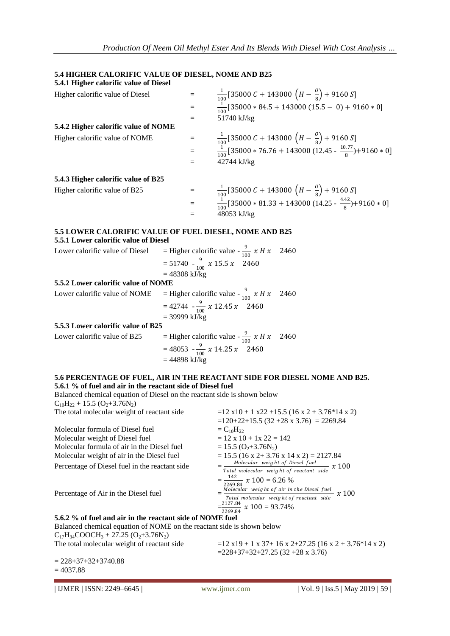# **5.4 HIGHER CALORIFIC VALUE OF DIESEL, NOME AND B25**

| 5.4.1 Higher calorific value of Diesel                                                                                                  |                                    |                                                                                                            |  |  |
|-----------------------------------------------------------------------------------------------------------------------------------------|------------------------------------|------------------------------------------------------------------------------------------------------------|--|--|
| Higher calorific value of Diesel                                                                                                        |                                    | $\frac{1}{100}$ [35000 C + 143000 $\left(H-\frac{0}{8}\right)$ + 9160 S]                                   |  |  |
|                                                                                                                                         | $=$                                | $\frac{1}{100}$ [35000 * 84.5 + 143000 (15.5 - 0) + 9160 * 0]                                              |  |  |
|                                                                                                                                         | $=$                                | 51740 kJ/kg                                                                                                |  |  |
| 5.4.2 Higher calorific value of NOME                                                                                                    |                                    |                                                                                                            |  |  |
| Higher calorific value of NOME                                                                                                          | $\equiv$                           | $\frac{1}{100}$ [35000 C + 143000 $\left(H-\frac{0}{8}\right)$ + 9160 S]                                   |  |  |
|                                                                                                                                         |                                    | $\frac{1}{100} [35000 * 76.76 + 143000 (12.45 - \frac{10.77}{8}) + 9160 * 0]$                              |  |  |
|                                                                                                                                         | $=$                                | 42744 kJ/kg                                                                                                |  |  |
| 5.4.3 Higher calorific value of B25                                                                                                     |                                    |                                                                                                            |  |  |
| Higher calorific value of B25                                                                                                           | $\equiv$                           | $\frac{1}{100}$ [35000 C + 143000 $\left(H-\frac{0}{8}\right)$ + 9160 S]                                   |  |  |
|                                                                                                                                         | $=$                                | $\frac{1}{100}$ [35000 * 81.33 + 143000 (14.25 - $\frac{4.42}{8}$ )+9160 * 0]                              |  |  |
|                                                                                                                                         |                                    | 48053 kJ/kg                                                                                                |  |  |
| <b>5.5 LOWER CALORIFIC VALUE OF FUEL DIESEL, NOME AND B25</b>                                                                           |                                    |                                                                                                            |  |  |
| 5.5.1 Lower calorific value of Diesel                                                                                                   |                                    |                                                                                                            |  |  |
| Lower calorific value of Diesel                                                                                                         |                                    | = Higher calorific value - $\frac{9}{100} x H x$<br>2460                                                   |  |  |
|                                                                                                                                         | $= 51740 - \frac{9}{100} x 15.5 x$ | 2460                                                                                                       |  |  |
| 5.5.2 Lower calorific value of NOME                                                                                                     | $= 48308$ kJ/kg                    |                                                                                                            |  |  |
| Lower calorific value of NOME                                                                                                           |                                    | = Higher calorific value - $\frac{9}{100} x H x$<br>2460                                                   |  |  |
|                                                                                                                                         |                                    |                                                                                                            |  |  |
|                                                                                                                                         | $=$ 39999 kJ/kg                    | $= 42744 - \frac{9}{100} x 12.45 x 2460$                                                                   |  |  |
| 5.5.3 Lower calorific value of B25                                                                                                      |                                    |                                                                                                            |  |  |
| Lower calorific value of B25                                                                                                            |                                    | = Higher calorific value - $\frac{9}{100} x H x$<br>2460                                                   |  |  |
|                                                                                                                                         |                                    | $= 48053 - \frac{9}{100} x 14.25 x 2460$                                                                   |  |  |
|                                                                                                                                         | $= 44898$ kJ/kg                    |                                                                                                            |  |  |
|                                                                                                                                         |                                    | 5.6 PERCENTAGE OF FUEL, AIR IN THE REACTANT SIDE FOR DIESEL NOME AND B25.                                  |  |  |
| 5.6.1 % of fuel and air in the reactant side of Diesel fuel                                                                             |                                    |                                                                                                            |  |  |
| Balanced chemical equation of Diesel on the reactant side is shown below<br>$C_{10}H_{22}$ + 15.5 (O <sub>2</sub> +3.76N <sub>2</sub> ) |                                    |                                                                                                            |  |  |
| The total molecular weight of reactant side                                                                                             |                                    | $=$ 12 x10 + 1 x22 +15.5 (16 x 2 + 3.76*14 x 2)                                                            |  |  |
|                                                                                                                                         |                                    | $=120+22+15.5$ (32 +28 x 3.76) = 2269.84                                                                   |  |  |
| Molecular formula of Diesel fuel                                                                                                        |                                    | $=C_{10}H_{22}$<br>$= 12 \times 10 + 1 \times 22 = 142$                                                    |  |  |
| Molecular weight of Diesel fuel<br>Molecular formula of air in the Diesel fuel                                                          |                                    | $= 15.5 (O2+3.76N2)$                                                                                       |  |  |
| Molecular weight of air in the Diesel fuel                                                                                              |                                    | $= 15.5 (16 \times 2 + 3.76 \times 14 \times 2) = 2127.84$                                                 |  |  |
| Percentage of Diesel fuel in the reactant side                                                                                          |                                    | $\frac{Molecular\ weight\ of\ Diesel\ fuel}{Total\ molecular\ weight\ of\ reactant\ side} \ x\ 100$        |  |  |
|                                                                                                                                         |                                    | $=\frac{142}{2269.84}$ x 100 = 6.26 %                                                                      |  |  |
| Percentage of Air in the Diesel fuel                                                                                                    |                                    | Molecular weight of air in the Diesel fuel $\frac{1}{100}$ $\frac{1}{100}$ $\frac{1}{100}$ $\frac{1}{100}$ |  |  |
|                                                                                                                                         |                                    |                                                                                                            |  |  |
|                                                                                                                                         |                                    | $=\frac{2127.84}{2269.84} \times 100 = 93.74\%$                                                            |  |  |
| 5.6.2 % of fuel and air in the reactant side of NOME fuel<br>Balanced chemical equation of NOME on the reactant side is shown below     |                                    |                                                                                                            |  |  |
| $C_{17}H_{34}COOCH_3 + 27.25 (O_2 + 3.76 N_2)$                                                                                          |                                    |                                                                                                            |  |  |
| The total molecular weight of reactant side                                                                                             |                                    | $=$ 12 x19 + 1 x 37+ 16 x 2+27.25 (16 x 2 + 3.76*14 x 2)                                                   |  |  |
|                                                                                                                                         |                                    | $= 228 + 37 + 32 + 27.25$ (32 + 28 x 3.76)                                                                 |  |  |
| $= 228 + 37 + 32 + 3740.88$                                                                                                             |                                    |                                                                                                            |  |  |

 $= 4037.88$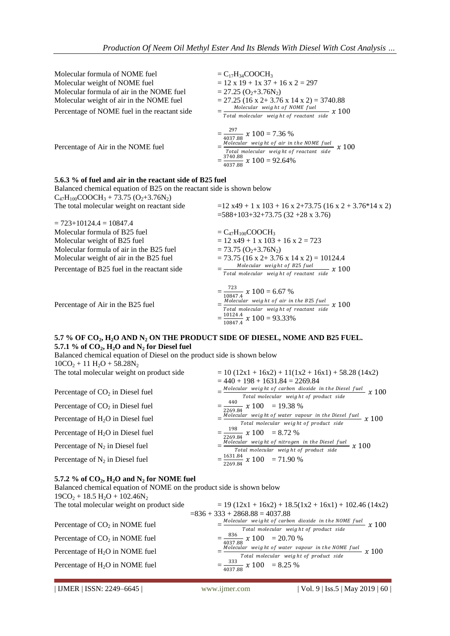| Molecular formula of NOME fuel<br>Molecular weight of NOME fuel<br>Molecular formula of air in the NOME fuel<br>Molecular weight of air in the NOME fuel<br>Percentage of NOME fuel in the reactant side | $=C_{17}H_{34}COOCH_3$<br>$= 12 \times 19 + 1 \times 37 + 16 \times 2 = 297$<br>$= 27.25 (O2+3.76N2)$<br>$= 27.25$ (16 x 2+ 3.76 x 14 x 2) = 3740.88<br>$=\frac{Molecular\ weight\ of\ NOME\ fuel}{Total\ molecular\ weight\ of\ reactant\ side} \ x\ 100$ |
|----------------------------------------------------------------------------------------------------------------------------------------------------------------------------------------------------------|------------------------------------------------------------------------------------------------------------------------------------------------------------------------------------------------------------------------------------------------------------|
| Percentage of Air in the NOME fuel                                                                                                                                                                       | $=\frac{297}{4037.88}$ x 100 = 7.36 %<br>$=\frac{Molecular\ weight\ of\ air\ in\ the\ NOME\ fuel}{Total\ molecular\ weight\ of\ reactant\ side} \ x\ 100$<br>$=\frac{3740.88}{4037.88}$ x 100 = 92.64%                                                     |
| 5.6.3 % of fuel and air in the reactant side of B25 fuel                                                                                                                                                 |                                                                                                                                                                                                                                                            |
| Balanced chemical equation of B25 on the reactant side is shown below                                                                                                                                    |                                                                                                                                                                                                                                                            |
| $C_{47}H_{100}COOCH_3 + 73.75 (O_2+3.76N_2)$                                                                                                                                                             |                                                                                                                                                                                                                                                            |
| The total molecular weight on reactant side                                                                                                                                                              | $=$ 12 x49 + 1 x 103 + 16 x 2+73.75 (16 x 2 + 3.76*14 x 2)                                                                                                                                                                                                 |
|                                                                                                                                                                                                          | $=588+103+32+73.75(32+28 \times 3.76)$                                                                                                                                                                                                                     |
| $= 723 + 10124.4 = 10847.4$                                                                                                                                                                              |                                                                                                                                                                                                                                                            |
| Molecular formula of B25 fuel                                                                                                                                                                            | $=C_{47}H_{100}COOCH_3$                                                                                                                                                                                                                                    |
| Molecular weight of B25 fuel                                                                                                                                                                             | $= 12$ x49 + 1 x 103 + 16 x 2 = 723                                                                                                                                                                                                                        |
| Molecular formula of air in the B25 fuel                                                                                                                                                                 | $= 73.75$ (O <sub>2</sub> +3.76N <sub>2</sub> )                                                                                                                                                                                                            |
| Molecular weight of air in the B25 fuel                                                                                                                                                                  | $= 73.75$ (16 x 2+ 3.76 x 14 x 2) = 10124.4                                                                                                                                                                                                                |
| Percentage of B25 fuel in the reactant side                                                                                                                                                              | $=\frac{Molecular\ weight\ of\ B25\ fuel}{Total\ molecular\ weight\ of\ reactant\ side} \ x\ 100$                                                                                                                                                          |
| Percentage of Air in the B25 fuel                                                                                                                                                                        | $=\frac{723}{10847.4}$ x 100 = 6.67 %<br>$=\frac{Molecular \text{ weight of air in the B25 fuel}}{Total molecular \text{ weight of reactant side}} \times 100$<br>$=\frac{10124.4}{10847.4}$ x 100 = 93.33%                                                |

#### **5.7 % OF CO2, H2O AND N<sup>2</sup> ON THE PRODUCT SIDE OF DIESEL, NOME AND B25 FUEL. 5.7.1 % of CO2, H2O and N<sup>2</sup> for Diesel fuel**

| Balanced chemical equation of Diesel on the product side is shown below |                                                                                                                                 |
|-------------------------------------------------------------------------|---------------------------------------------------------------------------------------------------------------------------------|
| $10CO_2 + 11 H_2O + 58.28 N_2$                                          |                                                                                                                                 |
| The total molecular weight on product side                              | $= 10(12x1 + 16x2) + 11(1x2 + 16x1) + 58.28(14x2)$<br>$= 440 + 198 + 1631.84 = 2269.84$                                         |
| Percentage of $CO2$ in Diesel fuel                                      | $=\frac{Molecular\ weight\ of\ carbon\ dioxide\ in\ the\ Diesel\ fuel}{Total\ molecular\ weight\ of\ product\ side} \times 100$ |
| Percentage of $CO2$ in Diesel fuel                                      | $=\frac{440}{2269.84} \times 100 = 19.38 \%$                                                                                    |
| Percentage of $H_2O$ in Diesel fuel                                     | $=\frac{100}{2}$ Molecular weight of water vapour in the Diesel fuel<br>Total molecular weight of product side<br>$x$ 100       |
| Percentage of $H_2O$ in Diesel fuel                                     | $=\frac{198}{2269.84}$ x 100 = 8.72 %                                                                                           |
| Percentage of $N_2$ in Diesel fuel                                      | $=\frac{Molecular\ weight\ of\ nitrogen\ in\ the\ Diesel\ fuel}{Total\ molecular\ weight\ of\ product\ side} \ \ \chi\ 100$     |
| Percentage of $N_2$ in Diesel fuel                                      | $=\frac{1631.84}{2269.84} \times 100 = 71.90\%$                                                                                 |
|                                                                         |                                                                                                                                 |

#### **5.7.2 % of CO2, H2O and N<sup>2</sup> for NOME fuel**

Balanced chemical equation of NOME on the product side is shown below  $19CO_2 + 18.5 H_2O + 102.46 N_2$ The total molecular weight on product side  $=836 + 333 + 2868.88 = 4037.88$ 

| Percentage of $CO2$ in NOME fuel  | Molecular weight                                 |
|-----------------------------------|--------------------------------------------------|
|                                   | Total mole                                       |
| Percentage of $CO2$ in NOME fuel  | $=\frac{836}{4037.88}$ x 100<br>Molecular weight |
| Percentage of $H_2O$ in NOME fuel |                                                  |
|                                   | Total mole                                       |
| Percentage of $H_2O$ in NOME fuel | 333<br>$=\frac{12}{4037.88}$ x 100               |

$$
= 19 (12x1 + 16x2) + 18.5(1x2 + 16x1) + 102.46 (14x2)
$$
  
36 + 333 + 2868.88 = 4037.88  

$$
= \frac{Molecular \ weight \ of \ carbon \ dioxide \ in \ the \ N0ME \ fuel}{Total \ molecular \ weight \ of \ product \ side} \ x 100
$$
  

$$
= \frac{836}{4037.88} \ x 100 = 20.70 \%
$$
  

$$
= \frac{Molecular \ weight \ of \ water \ vapor \ in \ the \ N0ME \ fuel}{Total \ molecular \ weight \ of \ product \ side} \ x 100
$$
  

$$
= \frac{333}{4037.88} \ x 100 = 8.25 \%
$$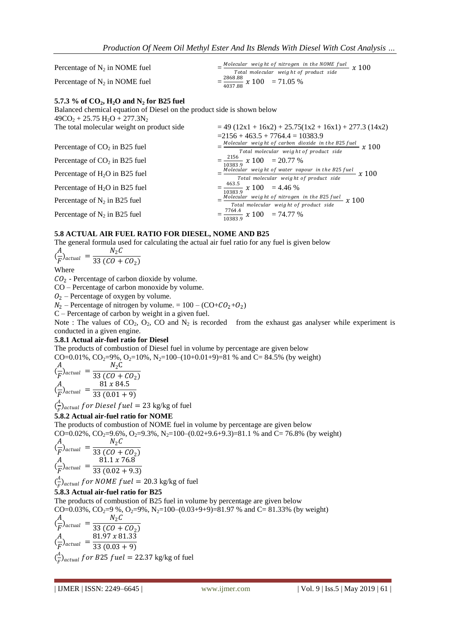| Percentage of $N_2$ in NOME fuel | Molecular weight of nitrogen in the NOME fuel $x$ 100 |
|----------------------------------|-------------------------------------------------------|
|                                  | Total molecular weight of product side                |
| Percentage of $N_2$ in NOME fuel | $=\frac{2868.88}{4037.88} \times 100 = 71.05 \%$      |

#### **5.7.3 % of CO2, H2O and N<sup>2</sup> for B25 fuel**

Balanced chemical equation of Diesel on the product side is shown below  $49CO<sub>2</sub> + 25.75 H<sub>2</sub>O + 277.3N<sub>2</sub>$ <br>The total molecular weight on product side  $= 49 (12x1 + 16x2) + 25.75(1x2 + 16x1) + 277.3$  (14x2)  $=2156 + 463.5 + 7764.4 = 10383.9$ Percentage of  $CO<sub>2</sub>$  in B25 fuel Molecular weight of carbon dioxide in the B25 fuel  $x$  100 Total molecular weight of product side Percentage of  $CO_2$  in B25 fuel  $=$ 2156  $\frac{2130}{10383.9} \times 100 = 20.77 \%$ Percentage of  $H<sub>2</sub>O$  in B25 fuel Molecular weight of water vapour in the B25 fuel<br> $\frac{x}{100}$  x 100 Total molecular weight of product side Percentage of  $H<sub>2</sub>O$  in B25 fuel  $\frac{463.5}{0.383.0}$  x 100 = 4.46 % 10383.9<br><u>Molecular weight of nitrogen in the B25 fuel</u><br> $\frac{x}{2}$  and  $\frac{x}{2}$  and  $\frac{y}{2}$  and  $\frac{y}{2}$  and  $\frac{y}{2}$  and  $\frac{y}{2}$  and  $\frac{y}{2}$  and  $\frac{y}{2}$  and  $\frac{y}{2}$  and  $\frac{y}{2}$  and  $\frac{y}{2}$  and  $\frac{y}{2}$  and Percentage of  $N_2$  in B25 fuel Total molecular weight of product side Percentage of  $N_2$  in B25 fuel 7764.4  $\frac{10383.9}{10383.9} \times 100 = 74.77 \%$ 

#### **5.8 ACTUAL AIR FUEL RATIO FOR DIESEL, NOME AND B25**

The general formula used for calculating the actual air fuel ratio for any fuel is given below

$$
\frac{A}{F}^{\prime}_{actual} = \frac{N_2 C}{33 (C0 + C0_2)}
$$

Where

 $CO<sub>2</sub>$  - Percentage of carbon dioxide by volume.

CO – Percentage of carbon monoxide by volume.

 $Q_2$  – Percentage of oxygen by volume.

 $N_2$  – Percentage of nitrogen by volume. =  $100 - (CO + CO_2 + O_2)$ 

C – Percentage of carbon by weight in a given fuel.

Note : The values of  $CO_2$ ,  $O_2$ ,  $CO$  and  $N_2$  is recorded from the exhaust gas analyser while experiment is conducted in a given engine.

#### **5.8.1 Actual air-fuel ratio for Diesel**

The products of combustion of Diesel fuel in volume by percentage are given below

CO=0.01%, CO2=9%, O2=10%, N2=100–(10+0.01+9)=81 % and C= 84.5% (by weight)

$$
\begin{aligned}\n\frac{A}{F} \text{)}_{actual} &= \frac{N_2 C}{33 (C0 + C0_2)} \\
\frac{A}{F} \text{)}_{actual} &= \frac{81 x 84.5}{33 (0.01 + 9)}\n\end{aligned}
$$

 $\binom{A}{E}$  $\frac{H}{F}$ )<sub>actual</sub> for Diesel fuel = 23 kg/kg of fuel

#### **5.8.2 Actual air-fuel ratio for NOME**

The products of combustion of NOME fuel in volume by percentage are given below CO=0.02%, CO<sub>2</sub>=9.6%, O<sub>2</sub>=9.3%, N<sub>2</sub>=100–(0.02+9.6+9.3)=81.1 % and C= 76.8% (by weight)

$$
\frac{A}{F}^2_{actual} = \frac{N_2 C}{33 (C0 + C0_2)}
$$
\n
$$
\frac{A}{F}^2_{actual} = \frac{81.1 \times 76.8}{33 (0.02 + 9.3)}
$$

 $\left(\frac{A}{C}\right)$  $\frac{H}{F}$ )<sub>actual</sub> for NOME fuel = 20.3 kg/kg of fuel

#### **5.8.3 Actual air-fuel ratio for B25**

The products of combustion of B25 fuel in volume by percentage are given below

CO=0.03%, CO<sub>2</sub>=9 %, O<sub>2</sub>=9%, N<sub>2</sub>=100–(0.03+9+9)=81.97 % and C= 81.33% (by weight)

$$
\begin{aligned}\n\frac{A}{F} \text{2} &= \frac{N_2 C}{33 (C0 + C0_2)} \\
\frac{A}{F} \text{2} &= \frac{81.97 \times 81.33}{33 (0.03 + 9)} \\
\frac{A}{F} \text{2} &= \frac{1}{33 (0.03 + 9)} \\
\frac{A}{F} \text{2} &= 22.37 \, \text{kg/kg of fuel}\n\end{aligned}
$$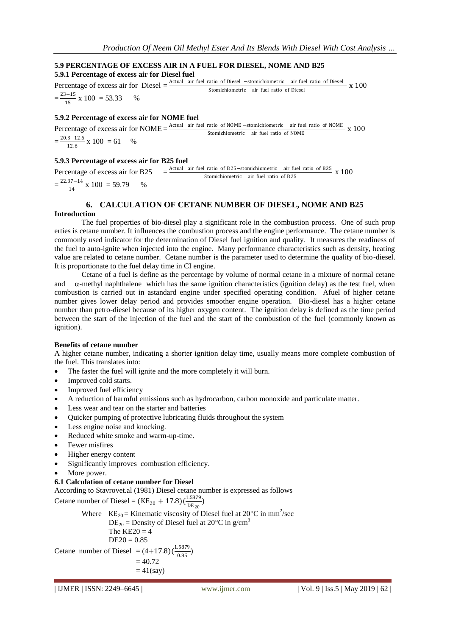# **5.9 PERCENTAGE OF EXCESS AIR IN A FUEL FOR DIESEL, NOME AND B25**

**5.9.1 Percentage of excess air for Diesel fuel**

Percentage of excess air for Diesel =  $\frac{\text{Actual air fuel ratio of Diesel -stomichiometric air fuel ratio of Diesel}}{\text{Ctrunilibrium time, of Data ratio of Special}} \times 100$ Stomichiometric air fuel ratio of Diesel  $=\frac{23-15}{15}$  $\frac{15}{15}$  x 100 = 53.33 %

# **5.9.2 Percentage of excess air for NOME fuel**

Percentage of excess air for NOME =  $\frac{\text{Actual}}{\text{actual}}$  air fuel ratio of NOME −stomichiometric air fuel ratio of NOME x 100 Stomichiometric air fuel ratio of NOME  $=\frac{20.3-12.6}{13.6}$  $\frac{3-12.0}{12.6} \times 100 = 61$  %

# **5.9.3 Percentage of excess air for B25 fuel**

Percentage of excess air for B25 =  $\frac{\text{Actual air fuel ratio of B25–stomichiometric air fuel ratio of B25}}{\text{Carnishismatic air fuel with of B25}} \times 100$ Stomichiometric air fuel ratio of B25  $=\frac{22.37-14}{14}$  $\frac{37-14}{14}$  x 100 = 59.79 %

#### **6. CALCULATION OF CETANE NUMBER OF DIESEL, NOME AND B25 Introduction**

The fuel properties of bio-diesel play a significant role in the combustion process. One of such prop erties is cetane number. It influences the combustion process and the engine performance. The cetane number is commonly used indicator for the determination of Diesel fuel ignition and quality. It measures the readiness of the fuel to auto-ignite when injected into the engine. Many performance characteristics such as density, heating value are related to cetane number. Cetane number is the parameter used to determine the quality of bio-diesel. It is proportionate to the fuel delay time in CI engine.

Cetane of a fuel is define as the percentage by volume of normal cetane in a mixture of normal cetane and  $\alpha$ -methyl naphthalene which has the same ignition characteristics (ignition delay) as the test fuel, when combustion is carried out in astandard engine under specified operating condition. Afuel of higher cetane number gives lower delay period and provides smoother engine operation. Bio-diesel has a higher cetane number than petro-diesel because of its higher oxygen content. The ignition delay is defined as the time period between the start of the injection of the fuel and the start of the combustion of the fuel (commonly known as ignition).

## **Benefits of cetane number**

A higher cetane number, indicating a shorter ignition delay time, usually means more complete combustion of the fuel. This translates into:

- The faster the fuel will ignite and the more completely it will burn.
- Improved cold starts.
- Improved fuel efficiency
- A reduction of harmful emissions such as hydrocarbon, carbon monoxide and particulate matter.
- Less wear and tear on the starter and batteries
- Quicker pumping of protective lubricating fluids throughout the system
- Less engine noise and knocking.
- Reduced white smoke and warm-up-time.
- Fewer misfires
- Higher energy content
- Significantly improves combustion efficiency.
- More power.

## **6.1 Calculation of cetane number for Diesel**

According to Stavrovet.al (1981) Diesel cetane number is expressed as follows

Cetane number of Diesel =  $(KE_{20} + 17.8)(\frac{1.5879}{nE_{20}})$  $\frac{(1.3075)}{DE_{20}}$ 

Where  $KE_{20}$  = Kinematic viscosity of Diesel fuel at 20 °C in mm<sup>2</sup>/sec  $DE_{20}$  = Density of Diesel fuel at 20<sup>o</sup>C in g/cm<sup>3</sup> The  $KE20 = 4$  $DE20 = 0.85$ Cetane number of Diesel =  $(4+17.8)(\frac{1.5879}{0.95})$  $\frac{.5675}{0.85}$  $= 40.72$ 

$$
=41(say)
$$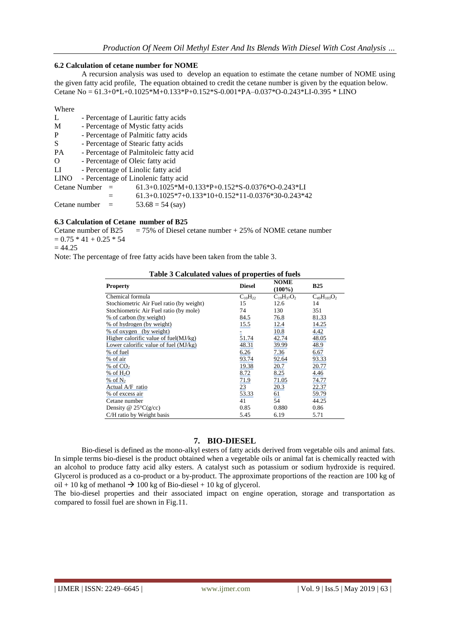#### **6.2 Calculation of cetane number for NOME**

A recursion analysis was used to develop an equation to estimate the cetane number of NOME using the given fatty acid profile, The equation obtained to credit the cetane number is given by the equation below. Cetane No = 61.3+0\*L+0.1025\*M+0.133\*P+0.152\*S-0.001\*PA–0.037\*O-0.243\*LI-0.395 \* LINO

Where

L - Percentage of Lauritic fatty acids M - Percentage of Mystic fatty acids P - Percentage of Palmitic fatty acids S - Percentage of Stearic fatty acids PA - Percentage of Palmitoleic fatty acid O - Percentage of Oleic fatty acid LI - Percentage of Linolic fatty acid LINO - Percentage of Linolenic fatty acid Cetane Number =  $61.3+0.1025*M+0.133*p+0.152*S-0.0376*O-0.243*LI$  $= 61.3+0.1025*7+0.133*10+0.152*11-0.0376*30-0.243*42$ Cetane number  $=$  53.68 = 54 (say)

#### **6.3 Calculation of Cetane number of B25**

Cetane number of B25  $= 75\%$  of Diesel cetane number + 25% of NOME cetane number  $= 0.75 * 41 + 0.25 * 54$ 

#### $= 44.25$

Note: The percentage of free fatty acids have been taken from the table 3.

|  |  | Table 3 Calculated values of properties of fuels |  |
|--|--|--------------------------------------------------|--|
|  |  | $\mathbf{H}$                                     |  |

| <b>Property</b>                          | <b>Diesel</b>  | <b>NOME</b><br>$(100\%)$ | <b>B25</b>         |
|------------------------------------------|----------------|--------------------------|--------------------|
| Chemical formula                         | $C_{10}H_{22}$ | $C_{19}H_{37}O_2$        | $C_{49}H_{103}O_2$ |
| Stochiometric Air Fuel ratio (by weight) | 15             | 12.6                     | 14                 |
| Stochiometric Air Fuel ratio (by mole)   | 74             | 130                      | 351                |
| % of carbon (by weight)                  | 84.5           | 76.8                     | 81.33              |
| % of hydrogen (by weight)                | 15.5           | 12.4                     | 14.25              |
| % of oxygen (by weight)                  |                | 10.8                     | 4.42               |
| Higher calorific value of fuel $(MJ/kg)$ | 51.74          | 42.74                    | 48.05              |
| Lower calorific value of fuel $(MJ/kg)$  | 48.31          | 39.99                    | 48.9               |
| % of fuel                                | 6.26           | 7.36                     | 6.67               |
| % of air                                 | 93.74          | 92.64                    | 93.33              |
| % of CO <sub>2</sub>                     | 19.38          | 20.7                     | 20.77              |
| $%$ of H <sub>2</sub> O                  | 8.72           | 8.25                     | 4.46               |
| % of $N_2$                               | 71.9           | 71.05                    | 74.77              |
| Actual A/F ratio                         | 23             | 20.3                     | 22.37              |
| % of excess air                          | 53.33          | <u>61</u>                | 59.79              |
| Cetane number                            | 41             | 54                       | 44.25              |
| Density @ $25^{\circ}C(g/cc)$            | 0.85           | 0.880                    | 0.86               |
| C/H ratio by Weight basis                | 5.45           | 6.19                     | 5.71               |

#### **7. BIO-DIESEL**

Bio-diesel is defined as the mono-alkyl esters of fatty acids derived from vegetable oils and animal fats. In simple terms bio-diesel is the product obtained when a vegetable oils or animal fat is chemically reacted with an alcohol to produce fatty acid alky esters. A catalyst such as potassium or sodium hydroxide is required. Glycerol is produced as a co-product or a by-product. The approximate proportions of the reaction are 100 kg of oil + 10 kg of methanol  $\rightarrow$  100 kg of Bio-diesel + 10 kg of glycerol.

The bio-diesel properties and their associated impact on engine operation, storage and transportation as compared to fossil fuel are shown in Fig.11.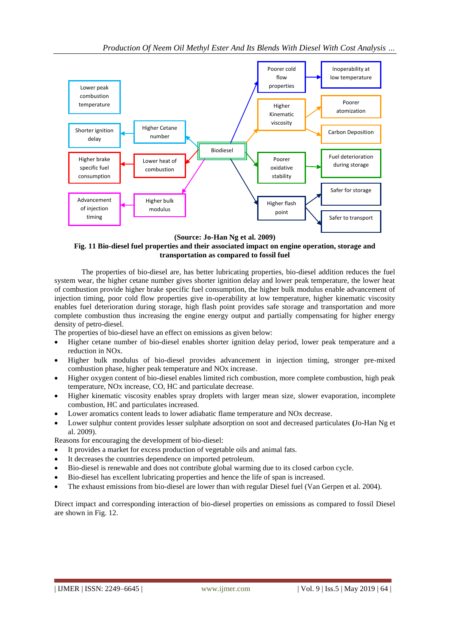

**(Source: Jo-Han Ng et al. 2009)**

# **Fig. 11 Bio-diesel fuel properties and their associated impact on engine operation, storage and transportation as compared to fossil fuel**

The properties of bio-diesel are, has better lubricating properties, bio-diesel addition reduces the fuel system wear, the higher cetane number gives shorter ignition delay and lower peak temperature, the lower heat of combustion provide higher brake specific fuel consumption, the higher bulk modulus enable advancement of injection timing, poor cold flow properties give in-operability at low temperature, higher kinematic viscosity enables fuel deterioration during storage, high flash point provides safe storage and transportation and more complete combustion thus increasing the engine energy output and partially compensating for higher energy density of petro-diesel.

The properties of bio-diesel have an effect on emissions as given below:

- Higher cetane number of bio-diesel enables shorter ignition delay period, lower peak temperature and a reduction in NOx.
- Higher bulk modulus of bio-diesel provides advancement in injection timing, stronger pre-mixed combustion phase, higher peak temperature and NOx increase.
- Higher oxygen content of bio-diesel enables limited rich combustion, more complete combustion, high peak temperature, NOx increase, CO, HC and particulate decrease.
- Higher kinematic viscosity enables spray droplets with larger mean size, slower evaporation, incomplete combustion, HC and particulates increased.
- Lower aromatics content leads to lower adiabatic flame temperature and NOx decrease.
- Lower sulphur content provides lesser sulphate adsorption on soot and decreased particulates **(**Jo-Han Ng et al. 2009).

Reasons for encouraging the development of bio-diesel:

- It provides a market for excess production of vegetable oils and animal fats.
- It decreases the countries dependence on imported petroleum.
- Bio-diesel is renewable and does not contribute global warming due to its closed carbon cycle.
- Bio-diesel has excellent lubricating properties and hence the life of span is increased.
- The exhaust emissions from bio-diesel are lower than with regular Diesel fuel (Van Gerpen et al. 2004).

Direct impact and corresponding interaction of bio-diesel properties on emissions as compared to fossil Diesel are shown in Fig. 12.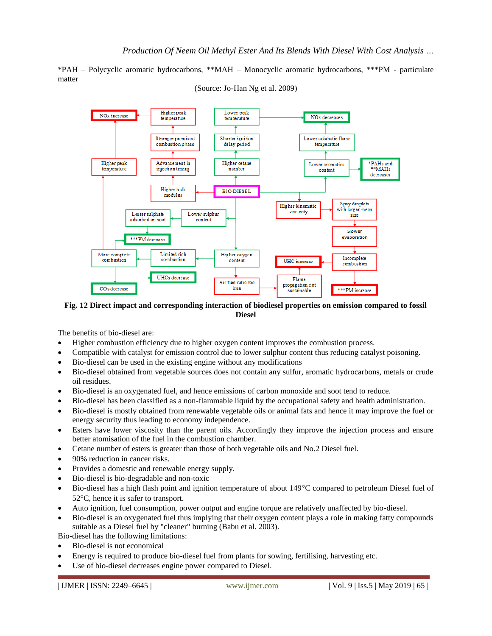\*PAH – Polycyclic aromatic hydrocarbons, \*\*MAH – Monocyclic aromatic hydrocarbons, \*\*\*PM - particulate matter



(Source: Jo-Han Ng et al. 2009)

**Fig. 12 Direct impact and corresponding interaction of biodiesel properties on emission compared to fossil Diesel**

The benefits of bio-diesel are:

- Higher combustion efficiency due to higher oxygen content improves the combustion process.
- Compatible with catalyst for emission control due to lower sulphur content thus reducing catalyst poisoning.
- Bio-diesel can be used in the existing engine without any modifications
- Bio-diesel obtained from vegetable sources does not contain any sulfur, aromatic hydrocarbons, metals or crude oil residues.
- Bio-diesel is an oxygenated fuel, and hence emissions of carbon monoxide and soot tend to reduce.
- Bio-diesel has been classified as a non-flammable liquid by the occupational safety and health administration.
- Bio-diesel is mostly obtained from renewable vegetable oils or animal fats and hence it may improve the fuel or energy security thus leading to economy independence.
- Esters have lower viscosity than the parent oils. Accordingly they improve the injection process and ensure better atomisation of the fuel in the combustion chamber.
- Cetane number of esters is greater than those of both vegetable oils and No.2 Diesel fuel.
- 90% reduction in cancer risks.
- Provides a domestic and renewable energy supply.
- Bio-diesel is bio-degradable and non-toxic
- Bio-diesel has a high flash point and ignition temperature of about 149 °C compared to petroleum Diesel fuel of  $52^{\circ}$ C, hence it is safer to transport.
- Auto ignition, fuel consumption, power output and engine torque are relatively unaffected by bio-diesel.
- Bio-diesel is an oxygenated fuel thus implying that their oxygen content plays a role in making fatty compounds suitable as a Diesel fuel by "cleaner" burning (Babu et al. 2003).

Bio-diesel has the following limitations:

- Bio-diesel is not economical
- Energy is required to produce bio-diesel fuel from plants for sowing, fertilising, harvesting etc.
- Use of bio-diesel decreases engine power compared to Diesel.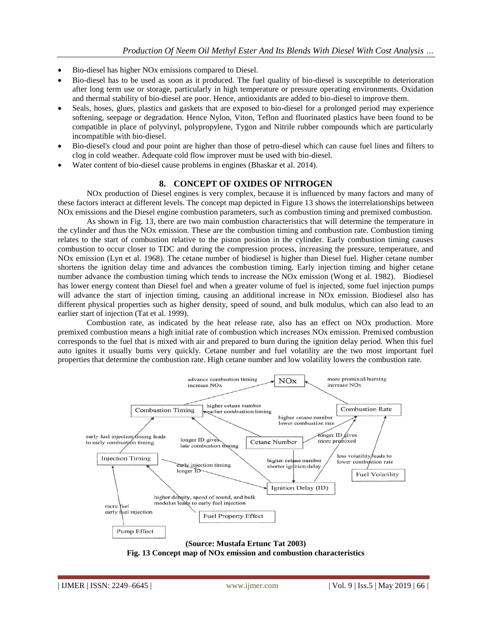- Bio-diesel has higher NOx emissions compared to Diesel.
- Bio-diesel has to be used as soon as it produced. The fuel quality of bio-diesel is susceptible to deterioration after long term use or storage, particularly in high temperature or pressure operating environments. Oxidation and thermal stability of bio-diesel are poor. Hence, antioxidants are added to bio-diesel to improve them.
- Seals, hoses, glues, plastics and gaskets that are exposed to bio-diesel for a prolonged period may experience softening, seepage or degradation. Hence Nylon, Viton, Teflon and fluorinated plastics have been found to be compatible in place of polyvinyl, polypropylene, Tygon and Nitrile rubber compounds which are particularly incompatible with bio-diesel.
- Bio-diesel's cloud and pour point are higher than those of petro-diesel which can cause fuel lines and filters to clog in cold weather. Adequate cold flow improver must be used with bio-diesel.
- Water content of bio-diesel cause problems in engines (Bhaskar et al. 2014).

#### **8. CONCEPT OF OXIDES OF NITROGEN**

NOx production of Diesel engines is very complex, because it is influenced by many factors and many of these factors interact at different levels. The concept map depicted in Figure 13 shows the interrelationships between NOx emissions and the Diesel engine combustion parameters, such as combustion timing and premixed combustion.

As shown in Fig. 13, there are two main combustion characteristics that will determine the temperature in the cylinder and thus the NOx emission. These are the combustion timing and combustion rate. Combustion timing relates to the start of combustion relative to the piston position in the cylinder. Early combustion timing causes combustion to occur closer to TDC and during the compression process, increasing the pressure, temperature, and NOx emission (Lyn et al. 1968). The cetane number of biodiesel is higher than Diesel fuel. Higher cetane number shortens the ignition delay time and advances the combustion timing. Early injection timing and higher cetane number advance the combustion timing which tends to increase the NOx emission (Wong et al. 1982). Biodiesel has lower energy content than Diesel fuel and when a greater volume of fuel is injected, some fuel injection pumps will advance the start of injection timing, causing an additional increase in NOx emission. Biodiesel also has different physical properties such as higher density, speed of sound, and bulk modulus, which can also lead to an earlier start of injection (Tat et al. 1999).

Combustion rate, as indicated by the heat release rate, also has an effect on NOx production. More premixed combustion means a high initial rate of combustion which increases NOx emission. Premixed combustion corresponds to the fuel that is mixed with air and prepared to burn during the ignition delay period. When this fuel auto ignites it usually bums very quickly. Cetane number and fuel volatility are the two most important fuel properties that determine the combustion rate. High cetane number and low volatility lowers the combustion rate.



**(Source: Mustafa Ertunc Tat 2003) Fig. 13 Concept map of NOx emission and combustion characteristics**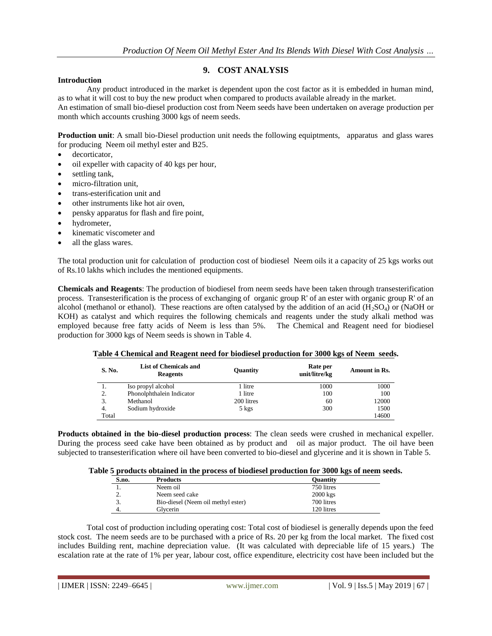# **9. COST ANALYSIS**

#### **Introduction**

Any product introduced in the market is dependent upon the cost factor as it is embedded in human mind, as to what it will cost to buy the new product when compared to products available already in the market.

An estimation of small bio-diesel production cost from Neem seeds have been undertaken on average production per month which accounts crushing 3000 kgs of neem seeds.

**Production unit**: A small bio-Diesel production unit needs the following equiptments, apparatus and glass wares for producing Neem oil methyl ester and B25.

- decorticator,
- oil expeller with capacity of 40 kgs per hour,
- settling tank,
- micro-filtration unit,
- trans-esterification unit and
- other instruments like hot air oven,
- pensky apparatus for flash and fire point,
- hydrometer,
- kinematic viscometer and
- all the glass wares.

The total production unit for calculation of production cost of biodiesel Neem oils it a capacity of 25 kgs works out of Rs.10 lakhs which includes the mentioned equipments.

**Chemicals and Reagents**: The production of biodiesel from neem seeds have been taken through transesterification process. Transesterification is the process of exchanging of organic group R' of an ester with organic group R' of an alcohol (methanol or ethanol). These reactions are often catalysed by the addition of an acid ( $H_2SO_4$ ) or (NaOH or KOH) as catalyst and which requires the following chemicals and reagents under the study alkali method was employed because free fatty acids of Neem is less than 5%. The Chemical and Reagent need for biodiesel production for 3000 kgs of Neem seeds is shown in Table 4.

| S. No. | List of Chemicals and<br><b>Reagents</b> | Quantity   | Rate per<br>unit/litre/kg | <b>Amount in Rs.</b> |
|--------|------------------------------------------|------------|---------------------------|----------------------|
| 1.     | Iso propyl alcohol                       | 1 litre    | 1000                      | 1000                 |
| 2.     | Phonolphthalein Indicator                | 1 litre    | 100                       | 100                  |
| 3.     | Methanol                                 | 200 litres | 60                        | 12000                |
| 4.     | Sodium hydroxide                         | 5 kgs      | 300                       | 1500                 |
| Total  |                                          |            |                           | 14600                |

**Table 4 Chemical and Reagent need for biodiesel production for 3000 kgs of Neem seeds.**

**Products obtained in the bio-diesel production process**: The clean seeds were crushed in mechanical expeller. During the process seed cake have been obtained as by product and oil as major product. The oil have been subjected to transesterification where oil have been converted to bio-diesel and glycerine and it is shown in Table 5.

| Table 5 products obtained in the process of biodiesel production for 3000 kgs of neem seeds. |  |  |  |  |  |  |  |  |  |  |  |
|----------------------------------------------------------------------------------------------|--|--|--|--|--|--|--|--|--|--|--|
|----------------------------------------------------------------------------------------------|--|--|--|--|--|--|--|--|--|--|--|

| S.no.    | <b>Products</b>                    | <b>Ouantity</b> |
|----------|------------------------------------|-----------------|
|          | Neem oil                           | 750 litres      |
| <u>.</u> | Neem seed cake                     | $2000$ kgs      |
| 3.       | Bio-diesel (Neem oil methyl ester) | 700 litres      |
|          | Glvcerin                           | 120 litres      |

Total cost of production including operating cost: Total cost of biodiesel is generally depends upon the feed stock cost. The neem seeds are to be purchased with a price of Rs. 20 per kg from the local market. The fixed cost includes Building rent, machine depreciation value. (It was calculated with depreciable life of 15 years.) The escalation rate at the rate of 1% per year, labour cost, office expenditure, electricity cost have been included but the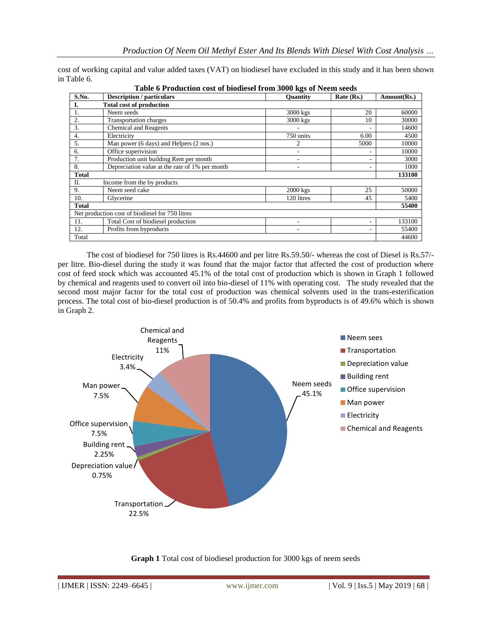cost of working capital and value added taxes (VAT) on biodiesel have excluded in this study and it has been shown in Table 6.

|                                                 | Table of Founction cost of biodicsel from 5000 Kgs of Ficcin secus |                 |            |             |  |  |  |
|-------------------------------------------------|--------------------------------------------------------------------|-----------------|------------|-------------|--|--|--|
| S.No.                                           | <b>Description</b> / particulars                                   | <b>Ouantity</b> | Rate (Rs.) | Amount(Rs.) |  |  |  |
| I.                                              | <b>Total cost of production</b>                                    |                 |            |             |  |  |  |
| 1.                                              | Neem seeds                                                         | $3000$ kgs      | 20         | 60000       |  |  |  |
| 2.                                              | Transportation charges                                             | 3000 kgs        | 10         | 30000       |  |  |  |
| 3.                                              | <b>Chemical and Reagents</b>                                       |                 |            | 14600       |  |  |  |
| 4.                                              | Electricity                                                        | 750 units       | 6.00       | 4500        |  |  |  |
| 5.                                              | Man power (6 days) and Helpers (2 nos.)                            | 2               | 5000       | 10000       |  |  |  |
| 6.                                              | Office superivision                                                | ۰               |            | 10000       |  |  |  |
| 7.                                              | Production unit building Rent per month                            | ۰               |            | 3000        |  |  |  |
| 8.                                              | Depreciation value at the rate of 1% per month                     | ۰               |            | 1000        |  |  |  |
| <b>Total</b>                                    |                                                                    |                 |            |             |  |  |  |
| Π.                                              | Income from the by products                                        |                 |            |             |  |  |  |
| 9.                                              | Neem seed cake                                                     | $2000$ kgs      | 25         | 50000       |  |  |  |
| 10.                                             | Glycerine                                                          | 120 litres      | 45         | 5400        |  |  |  |
| <b>Total</b>                                    |                                                                    |                 |            |             |  |  |  |
| Net production cost of biodiesel for 750 litres |                                                                    |                 |            |             |  |  |  |
| 11.                                             | Total Cost of biodiesel production                                 |                 | ۰          | 133100      |  |  |  |
| 12.                                             | Profits from byproducts                                            |                 |            | 55400       |  |  |  |
| Total                                           |                                                                    |                 |            | 44600       |  |  |  |

**Table 6 Production cost of biodiesel from 3000 kgs of Neem seeds**

The cost of biodiesel for 750 litres is Rs.44600 and per litre Rs.59.50/- whereas the cost of Diesel is Rs.57/ per litre. Bio-diesel during the study it was found that the major factor that affected the cost of production where cost of feed stock which was accounted 45.1% of the total cost of production which is shown in Graph 1 followed by chemical and reagents used to convert oil into bio-diesel of 11% with operating cost. The study revealed that the second most major factor for the total cost of production was chemical solvents used in the trans-esterification process. The total cost of bio-diesel production is of 50.4% and profits from byproducts is of 49.6% which is shown in Graph 2.



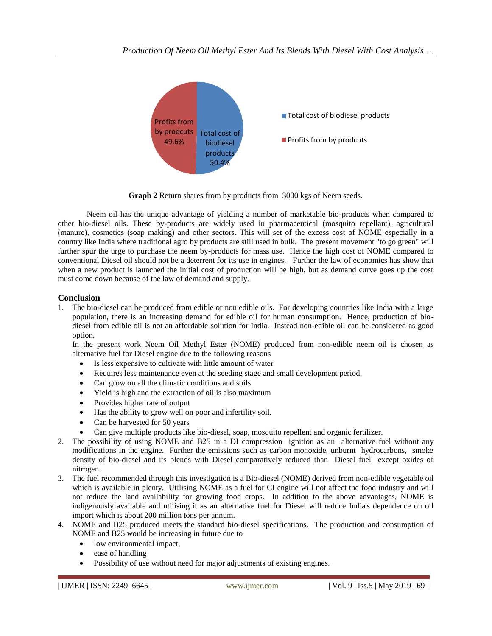

**Graph 2** Return shares from by products from 3000 kgs of Neem seeds.

Neem oil has the unique advantage of yielding a number of marketable bio-products when compared to other bio-diesel oils. These by-products are widely used in pharmaceutical (mosquito repellant), agricultural (manure), cosmetics (soap making) and other sectors. This will set of the excess cost of NOME especially in a country like India where traditional agro by products are still used in bulk. The present movement "to go green" will further spur the urge to purchase the neem by-products for mass use. Hence the high cost of NOME compared to conventional Diesel oil should not be a deterrent for its use in engines. Further the law of economics has show that when a new product is launched the initial cost of production will be high, but as demand curve goes up the cost must come down because of the law of demand and supply.

# **Conclusion**

1. The bio-diesel can be produced from edible or non edible oils. For developing countries like India with a large population, there is an increasing demand for edible oil for human consumption. Hence, production of biodiesel from edible oil is not an affordable solution for India. Instead non-edible oil can be considered as good option.

In the present work Neem Oil Methyl Ester (NOME) produced from non-edible neem oil is chosen as alternative fuel for Diesel engine due to the following reasons

- Is less expensive to cultivate with little amount of water
- Requires less maintenance even at the seeding stage and small development period.
- Can grow on all the climatic conditions and soils
- Yield is high and the extraction of oil is also maximum
- Provides higher rate of output
- Has the ability to grow well on poor and infertility soil.
- Can be harvested for 50 years
- Can give multiple products like bio-diesel, soap, mosquito repellent and organic fertilizer.
- 2. The possibility of using NOME and B25 in a DI compression ignition as an alternative fuel without any modifications in the engine. Further the emissions such as carbon monoxide, unburnt hydrocarbons, smoke density of bio-diesel and its blends with Diesel comparatively reduced than Diesel fuel except oxides of nitrogen.
- 3. The fuel recommended through this investigation is a Bio-diesel (NOME) derived from non-edible vegetable oil which is available in plenty. Utilising NOME as a fuel for CI engine will not affect the food industry and will not reduce the land availability for growing food crops. In addition to the above advantages, NOME is indigenously available and utilising it as an alternative fuel for Diesel will reduce India's dependence on oil import which is about 200 million tons per annum.
- 4. NOME and B25 produced meets the standard bio-diesel specifications. The production and consumption of NOME and B25 would be increasing in future due to
	- low environmental impact,
	- ease of handling
	- Possibility of use without need for major adjustments of existing engines.